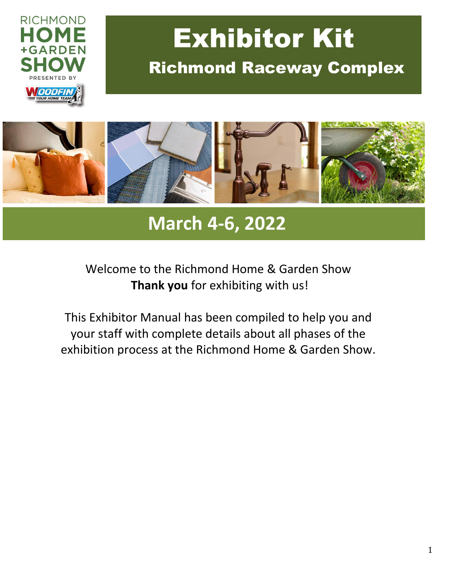

# Exhibitor Kit Richmond Raceway Complex



## **March 4-6, 2022**

## Welcome to the Richmond Home & Garden Show **Thank you** for exhibiting with us!

This Exhibitor Manual has been compiled to help you and your staff with complete details about all phases of the exhibition process at the Richmond Home & Garden Show.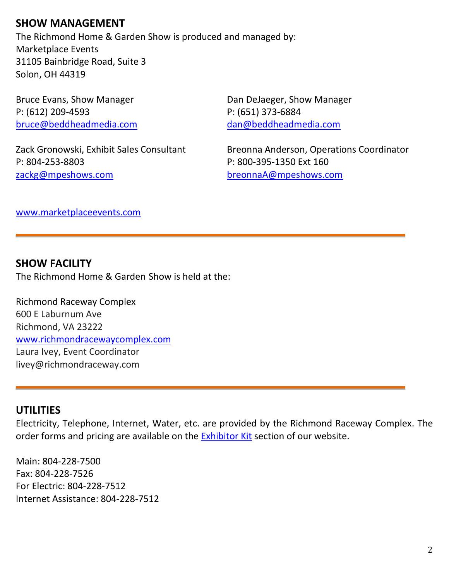## **SHOW MANAGEMENT**

The Richmond Home & Garden Show is produced and managed by: Marketplace Events 31105 Bainbridge Road, Suite 3 Solon, OH 44319

P: (612) 209-4593 P: (651) 373-6884 [bruce@beddheadmedia.com](mailto:bruce@beddheadmedia.com) [dan@beddheadmedia.com](mailto:dan@beddheadmedia.com)

P: 804-253-8803 P: 800-395-1350 Ext 160 [zackg@mpeshows.com](mailto:zackg@mpeshows.com) [breonnaA@mpeshows.com](mailto:breonnaA@mpeshows.com)

Bruce Evans, Show Manager **Dan DeJaeger, Show Manager** 

Zack Gronowski, Exhibit Sales Consultant Breonna Anderson, Operations Coordinator

[www.marketplaceevents.com](http://www.marketplaceevents.com/)

#### **SHOW FACILITY**

The Richmond Home & Garden Show is held at the:

Richmond Raceway Complex 600 E Laburnum Ave Richmond, VA 23222 [www.richmondracewaycomplex.com](http://www.richmondracewaycomplex.com/) Laura Ivey, Event Coordinator livey@richmondraceway.com

#### **UTILITIES**

Electricity, Telephone, Internet, Water, etc. are provided by the Richmond Raceway Complex. The order forms and pricing are available on the [Exhibitor Kit](http://richmondhomeandgarden.com/Exhibitor-Kit) section of our website.

Main: 804-228-7500 Fax: 804-228-7526 For Electric: 804-228-7512 Internet Assistance: 804-228-7512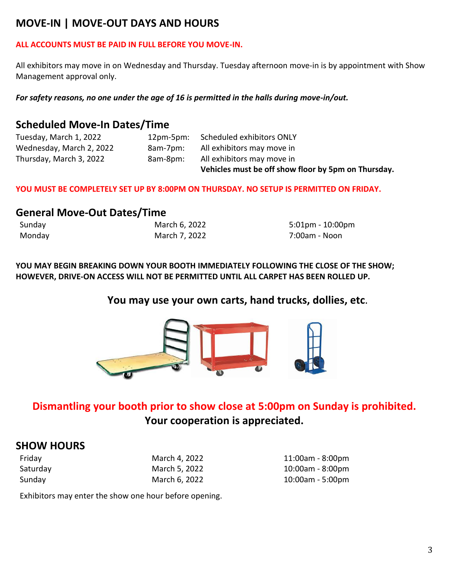## **MOVE-IN | MOVE-OUT DAYS AND HOURS**

#### **ALL ACCOUNTS MUST BE PAID IN FULL BEFORE YOU MOVE-IN.**

All exhibitors may move in on Wednesday and Thursday. Tuesday afternoon move-in is by appointment with Show Management approval only.

*For safety reasons, no one under the age of 16 is permitted in the halls during move-in/out.*

## **Scheduled Move-In Dates/Time**

|                          |           | Vehicles must be off show floor by 5pm on Thursday. |
|--------------------------|-----------|-----------------------------------------------------|
| Thursday, March 3, 2022  | 8am-8pm:  | All exhibitors may move in                          |
| Wednesday, March 2, 2022 | 8am-7pm:  | All exhibitors may move in                          |
| Tuesday, March 1, 2022   | 12pm-5pm: | Scheduled exhibitors ONLY                           |

**YOU MUST BE COMPLETELY SET UP BY 8:00PM ON THURSDAY. NO SETUP IS PERMITTED ON FRIDAY.**

#### **General Move-Out Dates/Time**

| Sunday | March 6, 2022 | 5:01pm - 10:00pm |
|--------|---------------|------------------|
| Monday | March 7, 2022 | 7:00am - Noon    |

**YOU MAY BEGIN BREAKING DOWN YOUR BOOTH IMMEDIATELY FOLLOWING THE CLOSE OF THE SHOW; HOWEVER, DRIVE-ON ACCESS WILL NOT BE PERMITTED UNTIL ALL CARPET HAS BEEN ROLLED UP.**

#### **You may use your own carts, hand trucks, dollies, etc.**



## **Dismantling your booth prior to show close at 5:00pm on Sunday is prohibited. Your cooperation is appreciated.**

#### **SHOW HOURS**

| Friday   | March 4, 2022 |
|----------|---------------|
| Saturday | March 5, 2022 |
| Sunday   | March 6, 2022 |

11:00am - 8:00pm 10:00am - 8:00pm 10:00am - 5:00pm

Exhibitors may enter the show one hour before opening.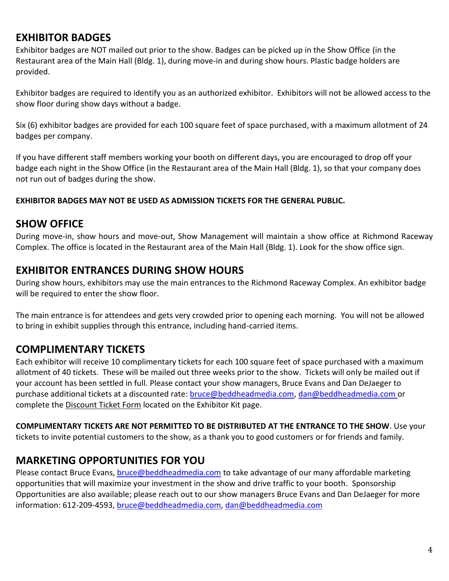## **EXHIBITOR BADGES**

Exhibitor badges are NOT mailed out prior to the show. Badges can be picked up in the Show Office (in the Restaurant area of the Main Hall (Bldg. 1), during move-in and during show hours. Plastic badge holders are provided.

Exhibitor badges are required to identify you as an authorized exhibitor. Exhibitors will not be allowed access to the show floor during show days without a badge.

Six (6) exhibitor badges are provided for each 100 square feet of space purchased, with a maximum allotment of 24 badges per company.

If you have different staff members working your booth on different days, you are encouraged to drop off your badge each night in the Show Office (in the Restaurant area of the Main Hall (Bldg. 1), so that your company does not run out of badges during the show.

#### **EXHIBITOR BADGES MAY NOT BE USED AS ADMISSION TICKETS FOR THE GENERAL PUBLIC.**

#### **SHOW OFFICE**

During move-in, show hours and move-out, Show Management will maintain a show office at Richmond Raceway Complex. The office is located in the Restaurant area of the Main Hall (Bldg. 1). Look for the show office sign.

#### **EXHIBITOR ENTRANCES DURING SHOW HOURS**

During show hours, exhibitors may use the main entrances to the Richmond Raceway Complex. An exhibitor badge will be required to enter the show floor.

The main entrance is for attendees and gets very crowded prior to opening each morning. You will not be allowed to bring in exhibit supplies through this entrance, including hand-carried items.

## **COMPLIMENTARY TICKETS**

Each exhibitor will receive 10 complimentary tickets for each 100 square feet of space purchased with a maximum allotment of 40 tickets. These will be mailed out three weeks prior to the show. Tickets will only be mailed out if your account has been settled in full. Please contact your show managers, Bruce Evans and Dan DeJaeger to purchase additional tickets at a discounted rate: [bruce@beddheadmedia.com,](mailto:bruce@beddheadmedia.com) [dan@beddheadmedia.com](mailto:dan@beddheadmedia.com) or complete the Discount Ticket Form located on the Exhibitor Kit page.

**COMPLIMENTARY TICKETS ARE NOT PERMITTED TO BE DISTRIBUTED AT THE ENTRANCE TO THE SHOW**. Use your tickets to invite potential customers to the show, as a thank you to good customers or for friends and family.

## **MARKETING OPPORTUNITIES FOR YOU**

Please contact Bruce Evans, [bruce@beddheadmedia.com](mailto:bruce@beddheadmedia.com) to take advantage of our many affordable marketing opportunities that will maximize your investment in the show and drive traffic to your booth. Sponsorship Opportunities are also available; please reach out to our show managers Bruce Evans and Dan DeJaeger for more information: 612-209-4593, [bruce@beddheadmedia.com,](mailto:bruce@beddheadmedia.com) [dan@beddheadmedia.com](mailto:dan@beddheadmedia.com)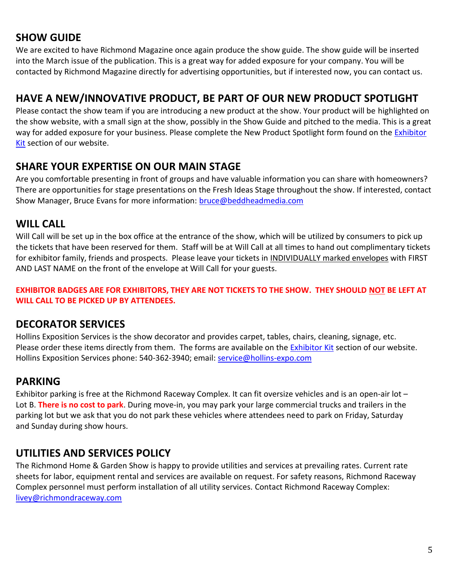## **SHOW GUIDE**

We are excited to have Richmond Magazine once again produce the show guide. The show guide will be inserted into the March issue of the publication. This is a great way for added exposure for your company. You will be contacted by Richmond Magazine directly for advertising opportunities, but if interested now, you can contact us.

## **HAVE A NEW/INNOVATIVE PRODUCT, BE PART OF OUR NEW PRODUCT SPOTLIGHT**

Please contact the show team if you are introducing a new product at the show. Your product will be highlighted on the show website, with a small sign at the show, possibly in the Show Guide and pitched to the media. This is a great way for added exposure for your business. Please complete the New Product Spotlight form found on the *Exhibitor* [Kit](http://vahomeshow.com/Exhibitor-Kit) section of our website.

## **SHARE YOUR EXPERTISE ON OUR MAIN STAGE**

Are you comfortable presenting in front of groups and have valuable information you can share with homeowners? There are opportunities for stage presentations on the Fresh Ideas Stage throughout the show. If interested, contact Show Manager, Bruce Evans for more information: [bruce@beddheadmedia.com](mailto:bruce@beddheadmedia.com)

#### **WILL CALL**

Will Call will be set up in the box office at the entrance of the show, which will be utilized by consumers to pick up the tickets that have been reserved for them. Staff will be at Will Call at all times to hand out complimentary tickets for exhibitor family, friends and prospects. Please leave your tickets in INDIVIDUALLY marked envelopes with FIRST AND LAST NAME on the front of the envelope at Will Call for your guests.

**EXHIBITOR BADGES ARE FOR EXHIBITORS, THEY ARE NOT TICKETS TO THE SHOW. THEY SHOULD NOT BE LEFT AT WILL CALL TO BE PICKED UP BY ATTENDEES.**

## **DECORATOR SERVICES**

Hollins Exposition Services is the show decorator and provides carpet, tables, chairs, cleaning, signage, etc. Please order these items directly from them. The forms are available on th[e Exhibitor Kit](http://richmondhomeandgarden.com/Exhibitor-Kit) section of our website. Hollins Exposition Services phone: 540-362-3940; email: [service@hollins-expo.com](mailto:service@hollins-expo.com)

## **PARKING**

Exhibitor parking is free at the Richmond Raceway Complex. It can fit oversize vehicles and is an open-air lot – Lot B. **There is no cost to park**. During move-in, you may park your large commercial trucks and trailers in the parking lot but we ask that you do not park these vehicles where attendees need to park on Friday, Saturday and Sunday during show hours.

## **UTILITIES AND SERVICES POLICY**

The Richmond Home & Garden Show is happy to provide utilities and services at prevailing rates. Current rate sheets for labor, equipment rental and services are available on request. For safety reasons, Richmond Raceway Complex personnel must perform installation of all utility services. Contact Richmond Raceway Complex: livey@richmondraceway.com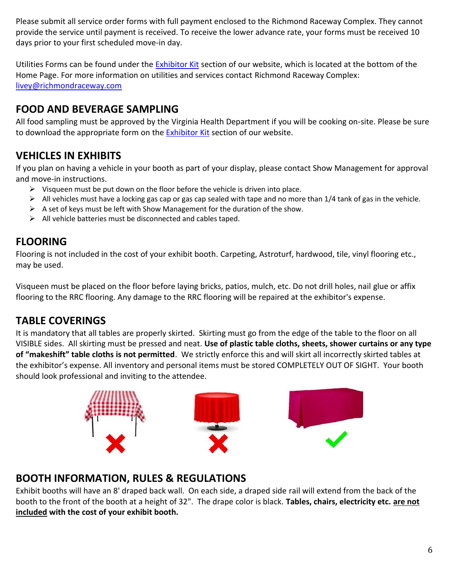Please submit all service order forms with full payment enclosed to the Richmond Raceway Complex. They cannot provide the service until payment is received. To receive the lower advance rate, your forms must be received 10 days prior to your first scheduled move-in day.

Utilities Forms can be found under the **Exhibitor Kit** section of our website, which is located at the bottom of the Home Page. For more information on utilities and services contact Richmond Raceway Complex: livey@richmondraceway.com

## **FOOD AND BEVERAGE SAMPLING**

All food sampling must be approved by the Virginia Health Department if you will be cooking on-site. Please be sure to download the appropriate form on the **Exhibitor Kit** section of our website.

## **VEHICLES IN EXHIBITS**

If you plan on having a vehicle in your booth as part of your display, please contact Show Management for approval and move-in instructions.

- $\triangleright$  Visqueen must be put down on the floor before the vehicle is driven into place.
- $\triangleright$  All vehicles must have a locking gas cap or gas cap sealed with tape and no more than 1/4 tank of gas in the vehicle.
- $\triangleright$  A set of keys must be left with Show Management for the duration of the show.
- $\triangleright$  All vehicle batteries must be disconnected and cables taped.

## **FLOORING**

Flooring is not included in the cost of your exhibit booth. Carpeting, Astroturf, hardwood, tile, vinyl flooring etc., may be used.

Visqueen must be placed on the floor before laying bricks, patios, mulch, etc. Do not drill holes, nail glue or affix flooring to the RRC flooring. Any damage to the RRC flooring will be repaired at the exhibitor's expense.

## **TABLE COVERINGS**

It is mandatory that all tables are properly skirted. Skirting must go from the edge of the table to the floor on all VISIBLE sides. All skirting must be pressed and neat. **Use of plastic table cloths, sheets, shower curtains or any type of "makeshift" table cloths is not permitted**. We strictly enforce this and will skirt all incorrectly skirted tables at the exhibitor's expense. All inventory and personal items must be stored COMPLETELY OUT OF SIGHT. Your booth should look professional and inviting to the attendee.



#### **BOOTH INFORMATION, RULES & REGULATIONS**

Exhibit booths will have an 8' draped back wall. On each side, a draped side rail will extend from the back of the booth to the front of the booth at a height of 32". The drape color is black. **Tables, chairs, electricity etc. are not included with the cost of your exhibit booth.**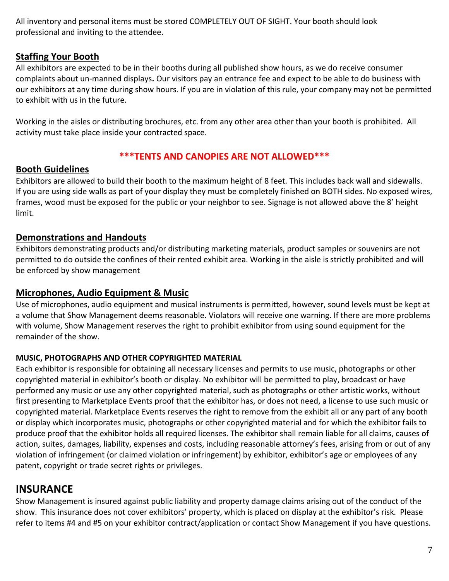All inventory and personal items must be stored COMPLETELY OUT OF SIGHT. Your booth should look professional and inviting to the attendee.

#### **Staffing Your Booth**

All exhibitors are expected to be in their booths during all published show hours, as we do receive consumer complaints about un-manned displays**.** Our visitors pay an entrance fee and expect to be able to do business with our exhibitors at any time during show hours. If you are in violation of this rule, your company may not be permitted to exhibit with us in the future.

Working in the aisles or distributing brochures, etc. from any other area other than your booth is prohibited. All activity must take place inside your contracted space.

#### **\*\*\*TENTS AND CANOPIES ARE NOT ALLOWED\*\*\***

#### **Booth Guidelines**

Exhibitors are allowed to build their booth to the maximum height of 8 feet. This includes back wall and sidewalls. If you are using side walls as part of your display they must be completely finished on BOTH sides. No exposed wires, frames, wood must be exposed for the public or your neighbor to see. Signage is not allowed above the 8' height limit.

#### **Demonstrations and Handouts**

Exhibitors demonstrating products and/or distributing marketing materials, product samples or souvenirs are not permitted to do outside the confines of their rented exhibit area. Working in the aisle is strictly prohibited and will be enforced by show management

#### **Microphones, Audio Equipment & Music**

Use of microphones, audio equipment and musical instruments is permitted, however, sound levels must be kept at a volume that Show Management deems reasonable. Violators will receive one warning. If there are more problems with volume, Show Management reserves the right to prohibit exhibitor from using sound equipment for the remainder of the show.

#### **MUSIC, PHOTOGRAPHS AND OTHER COPYRIGHTED MATERIAL**

Each exhibitor is responsible for obtaining all necessary licenses and permits to use music, photographs or other copyrighted material in exhibitor's booth or display. No exhibitor will be permitted to play, broadcast or have performed any music or use any other copyrighted material, such as photographs or other artistic works, without first presenting to Marketplace Events proof that the exhibitor has, or does not need, a license to use such music or copyrighted material. Marketplace Events reserves the right to remove from the exhibit all or any part of any booth or display which incorporates music, photographs or other copyrighted material and for which the exhibitor fails to produce proof that the exhibitor holds all required licenses. The exhibitor shall remain liable for all claims, causes of action, suites, damages, liability, expenses and costs, including reasonable attorney's fees, arising from or out of any violation of infringement (or claimed violation or infringement) by exhibitor, exhibitor's age or employees of any patent, copyright or trade secret rights or privileges.

## **INSURANCE**

Show Management is insured against public liability and property damage claims arising out of the conduct of the show. This insurance does not cover exhibitors' property, which is placed on display at the exhibitor's risk. Please refer to items #4 and #5 on your exhibitor contract/application or contact Show Management if you have questions.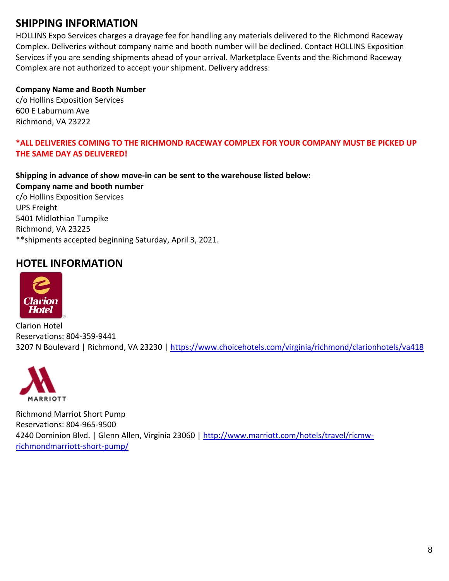## **SHIPPING INFORMATION**

HOLLINS Expo Services charges a drayage fee for handling any materials delivered to the Richmond Raceway Complex. Deliveries without company name and booth number will be declined. Contact HOLLINS Exposition Services if you are sending shipments ahead of your arrival. Marketplace Events and the Richmond Raceway Complex are not authorized to accept your shipment. Delivery address:

#### **Company Name and Booth Number**

c/o Hollins Exposition Services 600 E Laburnum Ave Richmond, VA 23222

#### **\*ALL DELIVERIES COMING TO THE RICHMOND RACEWAY COMPLEX FOR YOUR COMPANY MUST BE PICKED UP THE SAME DAY AS DELIVERED!**

**Shipping in advance of show move-in can be sent to the warehouse listed below: Company name and booth number**

c/o Hollins Exposition Services UPS Freight 5401 Midlothian Turnpike Richmond, VA 23225 \*\*shipments accepted beginning Saturday, April 3, 2021.

## **HOTEL INFORMATION**



Clarion Hotel Reservations: 804-359-9441 3207 N Boulevard | Richmond, VA 23230 |<https://www.choicehotels.com/virginia/richmond/clarionhotels/va418>



Richmond Marriot Short Pump Reservations: 804-965-9500 4240 Dominion Blvd. | Glenn Allen, Virginia 23060 | [http://www.marriott.com/hotels/travel/ricmw](http://www.marriott.com/hotels/travel/ricmw-richmondmarriott-short-pump/)[richmondmarriott-short-pump/](http://www.marriott.com/hotels/travel/ricmw-richmondmarriott-short-pump/)